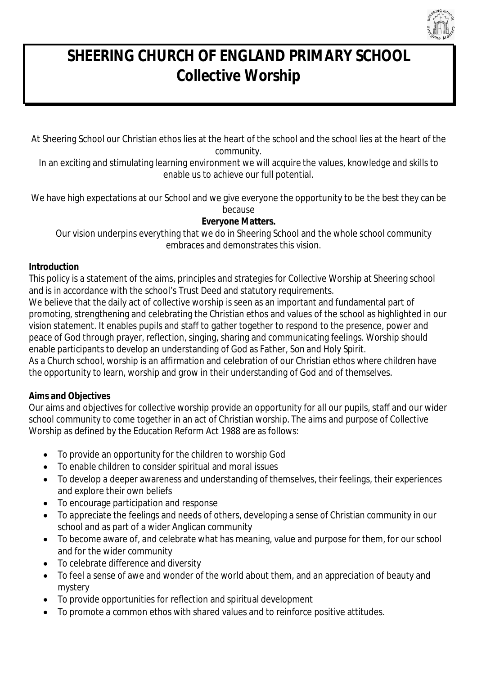

# *SHEERING CHURCH OF ENGLAND PRIMARY SCHOOL Collective Worship*

At Sheering School our Christian ethos lies at the heart of the school and the school lies at the heart of the community.

In an exciting and stimulating learning environment we will acquire the values, knowledge and skills to enable us to achieve our full potential.

We have high expectations at our School and we give everyone the opportunity to be the best they can be because

## **Everyone Matters.**

Our vision underpins everything that we do in Sheering School and the whole school community embraces and demonstrates this vision.

#### **Introduction**

This policy is a statement of the aims, principles and strategies for Collective Worship at Sheering school and is in accordance with the school's Trust Deed and statutory requirements.

We believe that the daily act of collective worship is seen as an important and fundamental part of promoting, strengthening and celebrating the Christian ethos and values of the school as highlighted in our vision statement. It enables pupils and staff to gather together to respond to the presence, power and peace of God through prayer, reflection, singing, sharing and communicating feelings. Worship should enable participants to develop an understanding of God as Father, Son and Holy Spirit.

As a Church school, worship is an affirmation and celebration of our Christian ethos where children have the opportunity to learn, worship and grow in their understanding of God and of themselves.

## **Aims and Objectives**

Our aims and objectives for collective worship provide an opportunity for all our pupils, staff and our wider school community to come together in an act of Christian worship. The aims and purpose of Collective Worship as defined by the Education Reform Act 1988 are as follows:

- To provide an opportunity for the children to worship God
- To enable children to consider spiritual and moral issues
- To develop a deeper awareness and understanding of themselves, their feelings, their experiences and explore their own beliefs
- To encourage participation and response
- To appreciate the feelings and needs of others, developing a sense of Christian community in our school and as part of a wider Anglican community
- To become aware of, and celebrate what has meaning, value and purpose for them, for our school and for the wider community
- To celebrate difference and diversity
- To feel a sense of awe and wonder of the world about them, and an appreciation of beauty and mystery
- To provide opportunities for reflection and spiritual development
- To promote a common ethos with shared values and to reinforce positive attitudes.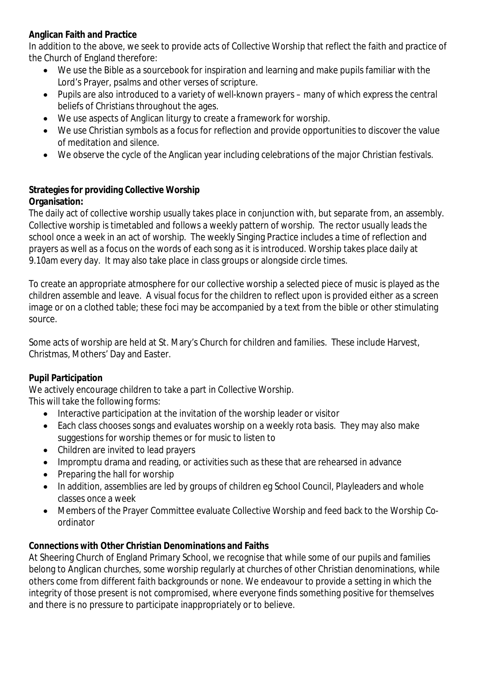## **Anglican Faith and Practice**

In addition to the above, we seek to provide acts of Collective Worship that reflect the faith and practice of the Church of England therefore:

- We use the Bible as a sourcebook for inspiration and learning and make pupils familiar with the Lord's Prayer, psalms and other verses of scripture.
- Pupils are also introduced to a variety of well-known prayers many of which express the central beliefs of Christians throughout the ages.
- We use aspects of Anglican liturgy to create a framework for worship.
- We use Christian symbols as a focus for reflection and provide opportunities to discover the value of meditation and silence.
- We observe the cycle of the Anglican year including celebrations of the major Christian festivals.

## **Strategies for providing Collective Worship Organisation:**

The daily act of collective worship usually takes place in conjunction with, but separate from, an assembly. Collective worship is timetabled and follows a weekly pattern of worship. The rector usually leads the school once a week in an act of worship. The weekly Singing Practice includes a time of reflection and prayers as well as a focus on the words of each song as it is introduced. Worship takes place daily at 9.10am every day. It may also take place in class groups or alongside circle times.

To create an appropriate atmosphere for our collective worship a selected piece of music is played as the children assemble and leave. A visual focus for the children to reflect upon is provided either as a screen image or on a clothed table; these foci may be accompanied by a text from the bible or other stimulating source.

Some acts of worship are held at St. Mary's Church for children and families. These include Harvest, Christmas, Mothers' Day and Easter.

## **Pupil Participation**

We actively encourage children to take a part in Collective Worship.

This will take the following forms:

- Interactive participation at the invitation of the worship leader or visitor
- Each class chooses songs and evaluates worship on a weekly rota basis. They may also make suggestions for worship themes or for music to listen to
- Children are invited to lead prayers
- Impromptu drama and reading, or activities such as these that are rehearsed in advance
- Preparing the hall for worship
- In addition, assemblies are led by groups of children eg School Council, Playleaders and whole classes once a week
- Members of the Prayer Committee evaluate Collective Worship and feed back to the Worship Coordinator

## **Connections with Other Christian Denominations and Faiths**

At Sheering Church of England Primary School, we recognise that while some of our pupils and families belong to Anglican churches, some worship regularly at churches of other Christian denominations, while others come from different faith backgrounds or none. We endeavour to provide a setting in which the integrity of those present is not compromised, where everyone finds something positive for themselves and there is no pressure to participate inappropriately or to believe.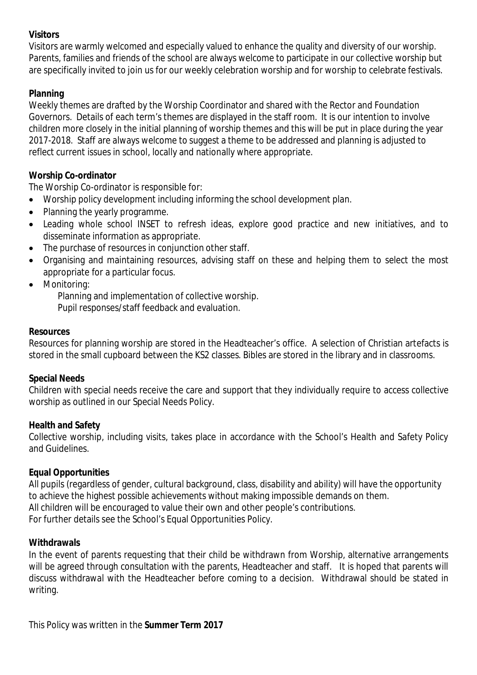#### **Visitors**

Visitors are warmly welcomed and especially valued to enhance the quality and diversity of our worship. Parents, families and friends of the school are always welcome to participate in our collective worship but are specifically invited to join us for our weekly celebration worship and for worship to celebrate festivals.

# **Planning**

Weekly themes are drafted by the Worship Coordinator and shared with the Rector and Foundation Governors. Details of each term's themes are displayed in the staff room. It is our intention to involve children more closely in the initial planning of worship themes and this will be put in place during the year 2017-2018. Staff are always welcome to suggest a theme to be addressed and planning is adjusted to reflect current issues in school, locally and nationally where appropriate.

## **Worship Co-ordinator**

The Worship Co-ordinator is responsible for:

- Worship policy development including informing the school development plan.
- Planning the yearly programme.
- Leading whole school INSET to refresh ideas, explore good practice and new initiatives, and to disseminate information as appropriate.
- The purchase of resources in conjunction other staff.
- Organising and maintaining resources, advising staff on these and helping them to select the most appropriate for a particular focus.
- Monitoring:

 Planning and implementation of collective worship. Pupil responses/staff feedback and evaluation.

#### **Resources**

Resources for planning worship are stored in the Headteacher's office. A selection of Christian artefacts is stored in the small cupboard between the KS2 classes. Bibles are stored in the library and in classrooms.

#### **Special Needs**

Children with special needs receive the care and support that they individually require to access collective worship as outlined in our Special Needs Policy.

#### **Health and Safety**

Collective worship, including visits, takes place in accordance with the School's Health and Safety Policy and Guidelines.

#### **Equal Opportunities**

All pupils (regardless of gender, cultural background, class, disability and ability) will have the opportunity to achieve the highest possible achievements without making impossible demands on them. All children will be encouraged to value their own and other people's contributions. For further details see the School's Equal Opportunities Policy.

#### **Withdrawals**

In the event of parents requesting that their child be withdrawn from Worship, alternative arrangements will be agreed through consultation with the parents, Headteacher and staff. It is hoped that parents will discuss withdrawal with the Headteacher before coming to a decision. Withdrawal should be stated in writing.